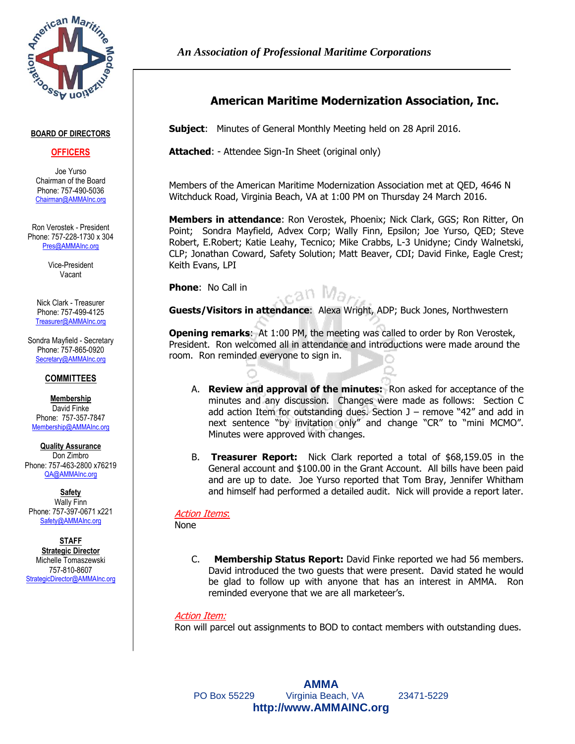

#### **BOARD OF DIRECTORS**

#### **OFFICERS**

Joe Yurso Chairman of the Board Phone: 757-490-5036 [Chairman@AMMAInc.org](mailto:JYurso@QEDsysinc.com)

Ron Verostek - President Phone: 757-228-1730 x 304 [Pres@AMMAInc.org](mailto:Pres@AMMAInc.org)

> Vice-President Vacant

Nick Clark - Treasurer Phone: 757-499-4125 [Treasurer@AMMAInc.org](mailto:NClark@GGSVB.com)

Sondra Mayfield - Secretary Phone: 757-865-0920 [Secretary@AMMAInc.org](mailto:SMayfield@Advex.net)

#### **COMMITTEES**

**Membership** David Finke Phone: 757-357-7847 [Membership@AMMAInc.org](mailto:Eaglecrest2012@gmail.com)

**Quality Assurance** Don Zimbro Phone: 757-463-2800 x76219 [QA@AMMAInc.org](mailto:Don.Zimbro@VT-Group.com)

**Safety** Wally Finn Phone: 757-397-0671 x221 Safety@AMMAInc.org

**STAFF Strategic Director** Michelle Tomaszewski 757-810-8607 [StrategicDirector@AMMAInc.org](mailto:StrategicDirector@AMMAInc.org) *An Association of Professional Maritime Corporations*

# **American Maritime Modernization Association, Inc.**

**Subject**: Minutes of General Monthly Meeting held on 28 April 2016.

**Attached**: - Attendee Sign-In Sheet (original only)

Members of the American Maritime Modernization Association met at QED, 4646 N Witchduck Road, Virginia Beach, VA at 1:00 PM on Thursday 24 March 2016.

**Members in attendance**: Ron Verostek, Phoenix; Nick Clark, GGS; Ron Ritter, On Point; Sondra Mayfield, Advex Corp; Wally Finn, Epsilon; Joe Yurso, QED; Steve Robert, E.Robert; Katie Leahy, Tecnico; Mike Crabbs, L-3 Unidyne; Cindy Walnetski, CLP; Jonathan Coward, Safety Solution; Matt Beaver, CDI; David Finke, Eagle Crest; Keith Evans, LPI

**Phone**: No Call in

<sub>c</sub>an Mar

**Guests/Visitors in attendance**: Alexa Wright, ADP; Buck Jones, Northwestern

**Opening remarks**:At 1:00 PM, the meeting was called to order by Ron Verostek, President. Ron welcomed all in attendance and introductions were made around the room. Ron reminded everyone to sign in.

- A. **Review and approval of the minutes:** Ron asked for acceptance of the minutes and any discussion. Changes were made as follows: Section C add action Item for outstanding dues. Section  $J$  – remove "42" and add in next sentence "by invitation only" and change "CR" to "mini MCMO". Minutes were approved with changes.
- B. **Treasurer Report:** Nick Clark reported a total of \$68,159.05 in the General account and \$100.00 in the Grant Account. All bills have been paid and are up to date. Joe Yurso reported that Tom Bray, Jennifer Whitham and himself had performed a detailed audit. Nick will provide a report later.

## Action Items:

None

C. **Membership Status Report:** David Finke reported we had 56 members. David introduced the two guests that were present. David stated he would be glad to follow up with anyone that has an interest in AMMA. Ron reminded everyone that we are all marketeer's.

## Action Item:

Ron will parcel out assignments to BOD to contact members with outstanding dues.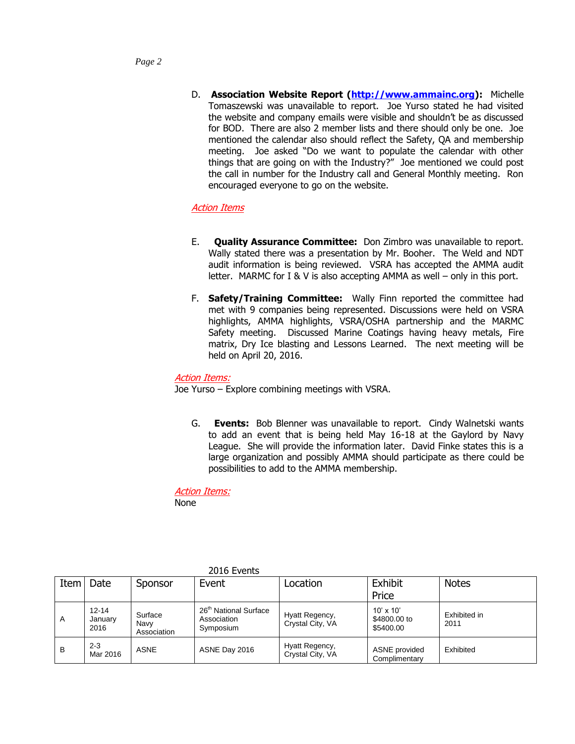D. **Association Website Report [\(http://www.ammainc.org\)](http://www.ammainc.org/):** Michelle Tomaszewski was unavailable to report. Joe Yurso stated he had visited the website and company emails were visible and shouldn't be as discussed for BOD. There are also 2 member lists and there should only be one. Joe mentioned the calendar also should reflect the Safety, QA and membership meeting. Joe asked "Do we want to populate the calendar with other things that are going on with the Industry?" Joe mentioned we could post the call in number for the Industry call and General Monthly meeting. Ron encouraged everyone to go on the website.

## Action Items

- E. **Quality Assurance Committee:** Don Zimbro was unavailable to report. Wally stated there was a presentation by Mr. Booher. The Weld and NDT audit information is being reviewed. VSRA has accepted the AMMA audit letter. MARMC for I & V is also accepting AMMA as well – only in this port.
- F. **Safety/Training Committee:** Wally Finn reported the committee had met with 9 companies being represented. Discussions were held on VSRA highlights, AMMA highlights, VSRA/OSHA partnership and the MARMC Safety meeting. Discussed Marine Coatings having heavy metals, Fire matrix, Dry Ice blasting and Lessons Learned. The next meeting will be held on April 20, 2016.

### Action Items:

Joe Yurso – Explore combining meetings with VSRA.

G. **Events:** Bob Blenner was unavailable to report. Cindy Walnetski wants to add an event that is being held May 16-18 at the Gaylord by Navy League. She will provide the information later. David Finke states this is a large organization and possibly AMMA should participate as there could be possibilities to add to the AMMA membership.

Action Items: None

Item Date Sponsor Event | Location | Exhibit Price **Notes** A 12-14 January 2016 **Surface** Navy Association 26<sup>th</sup> National Surface Association **Symposium** Hyatt Regency, Crystal City, VA 10' x 10' \$4800.00 to \$5400.00 Exhibited in 2011 B 2-3<br>Mar 2016 ASNE ASNE Day 2016 Hyatt Regency, Figure Regency,<br>Crystal City, VA Commitments **Complimentary** Exhibited

2016 Events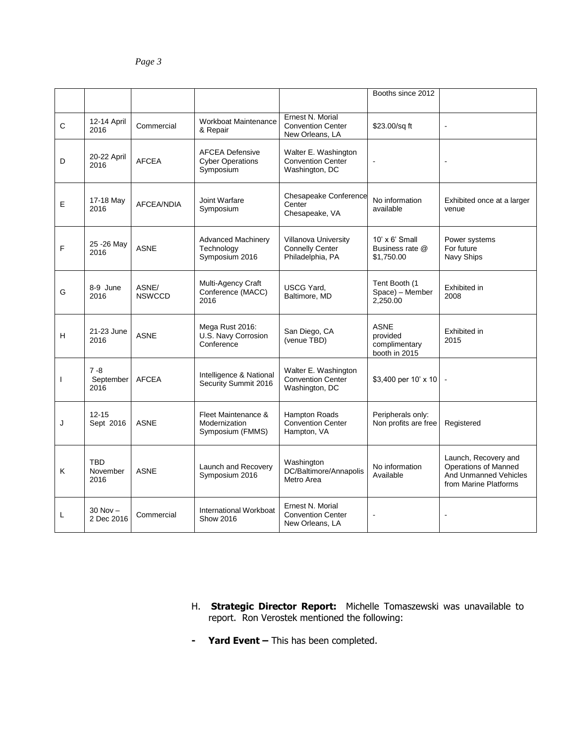|                          |                                |                        |                                                                |                                                                    | Booths since 2012                                         |                                                                                                |
|--------------------------|--------------------------------|------------------------|----------------------------------------------------------------|--------------------------------------------------------------------|-----------------------------------------------------------|------------------------------------------------------------------------------------------------|
| C                        | 12-14 April<br>2016            | Commercial             | Workboat Maintenance<br>& Repair                               | Ernest N. Morial<br><b>Convention Center</b><br>New Orleans, LA    | \$23.00/sq ft                                             | $\overline{a}$                                                                                 |
| D                        | 20-22 April<br>2016            | <b>AFCEA</b>           | <b>AFCEA Defensive</b><br><b>Cyber Operations</b><br>Symposium | Walter E. Washington<br><b>Convention Center</b><br>Washington, DC | $\blacksquare$                                            | ÷,                                                                                             |
| E                        | 17-18 May<br>2016              | <b>AFCEA/NDIA</b>      | Joint Warfare<br>Symposium                                     | Chesapeake Conference<br>Center<br>Chesapeake, VA                  | No information<br>available                               | Exhibited once at a larger<br>venue                                                            |
| F                        | 25 - 26 May<br>2016            | <b>ASNE</b>            | <b>Advanced Machinery</b><br>Technology<br>Symposium 2016      | Villanova University<br><b>Connelly Center</b><br>Philadelphia, PA | $10' \times 6'$ Small<br>Business rate @<br>\$1.750.00    | Power systems<br>For future<br>Navy Ships                                                      |
| G                        | 8-9 June<br>2016               | ASNE/<br><b>NSWCCD</b> | Multi-Agency Craft<br>Conference (MACC)<br>2016                | <b>USCG Yard,</b><br>Baltimore, MD                                 | Tent Booth (1<br>Space) - Member<br>2,250.00              | Exhibited in<br>2008                                                                           |
| н                        | 21-23 June<br>2016             | <b>ASNE</b>            | Mega Rust 2016:<br>U.S. Navy Corrosion<br>Conference           | San Diego, CA<br>(venue TBD)                                       | <b>ASNE</b><br>provided<br>complimentary<br>booth in 2015 | Exhibited in<br>2015                                                                           |
| $\overline{\phantom{a}}$ | $7 - 8$<br>September<br>2016   | <b>AFCEA</b>           | Intelligence & National<br>Security Summit 2016                | Walter E. Washington<br><b>Convention Center</b><br>Washington, DC | \$3,400 per 10' $\times$ 10                               |                                                                                                |
| J                        | $12 - 15$<br>Sept 2016         | <b>ASNE</b>            | Fleet Maintenance &<br>Modernization<br>Symposium (FMMS)       | <b>Hampton Roads</b><br>Convention Center<br>Hampton, VA           | Peripherals only:<br>Non profits are free                 | Registered                                                                                     |
| K                        | <b>TBD</b><br>November<br>2016 | <b>ASNE</b>            | Launch and Recovery<br>Symposium 2016                          | Washington<br>DC/Baltimore/Annapolis<br>Metro Area                 | No information<br>Available                               | Launch, Recovery and<br>Operations of Manned<br>And Unmanned Vehicles<br>from Marine Platforms |
| L                        | $30$ Nov $-$<br>2 Dec 2016     | Commercial             | International Workboat<br><b>Show 2016</b>                     | Ernest N. Morial<br><b>Convention Center</b><br>New Orleans, LA    | $\blacksquare$                                            |                                                                                                |

- H. **Strategic Director Report:** Michelle Tomaszewski was unavailable to report. Ron Verostek mentioned the following:
- **- Yard Event –** This has been completed.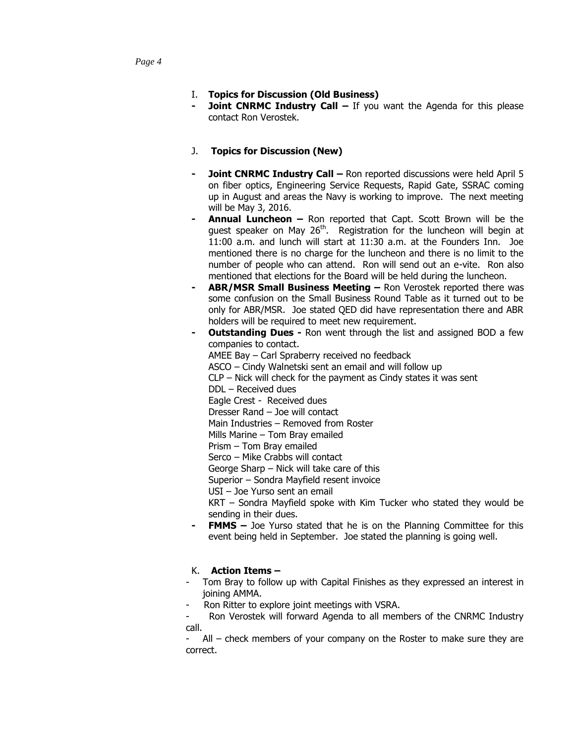- **Joint CNRMC Industry Call If you want the Agenda for this please** contact Ron Verostek.
- J. **Topics for Discussion (New)**
- **Joint CNRMC Industry Call –** Ron reported discussions were held April 5 on fiber optics, Engineering Service Requests, Rapid Gate, SSRAC coming up in August and areas the Navy is working to improve. The next meeting will be May 3, 2016.
- **- Annual Luncheon –** Ron reported that Capt. Scott Brown will be the quest speaker on May  $26<sup>th</sup>$ . Registration for the luncheon will begin at 11:00 a.m. and lunch will start at 11:30 a.m. at the Founders Inn. Joe mentioned there is no charge for the luncheon and there is no limit to the number of people who can attend. Ron will send out an e-vite. Ron also mentioned that elections for the Board will be held during the luncheon.
- **- ABR/MSR Small Business Meeting –** Ron Verostek reported there was some confusion on the Small Business Round Table as it turned out to be only for ABR/MSR. Joe stated QED did have representation there and ABR holders will be required to meet new requirement.
	- **- Outstanding Dues -** Ron went through the list and assigned BOD a few companies to contact. AMEE Bay – Carl Spraberry received no feedback ASCO – Cindy Walnetski sent an email and will follow up CLP – Nick will check for the payment as Cindy states it was sent DDL – Received dues Eagle Crest - Received dues Dresser Rand – Joe will contact Main Industries – Removed from Roster Mills Marine – Tom Bray emailed Prism – Tom Bray emailed Serco – Mike Crabbs will contact George Sharp – Nick will take care of this Superior – Sondra Mayfield resent invoice USI – Joe Yurso sent an email KRT – Sondra Mayfield spoke with Kim Tucker who stated they would be sending in their dues.
	- **FMMS** Joe Yurso stated that he is on the Planning Committee for this event being held in September. Joe stated the planning is going well.

# K. **Action Items –**

- Tom Bray to follow up with Capital Finishes as they expressed an interest in joining AMMA.
- Ron Ritter to explore joint meetings with VSRA.

Ron Verostek will forward Agenda to all members of the CNRMC Industry call.

 $All$  – check members of your company on the Roster to make sure they are correct.